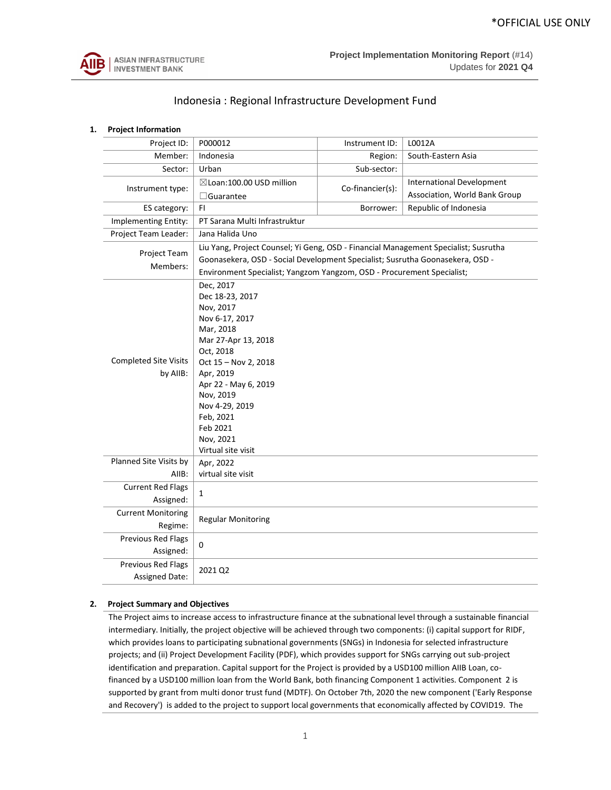

# Indonesia : Regional Infrastructure Development Fund

| 1.                                                                                                                                                                                                                                                                                         | <b>Project Information</b>            |                                                       |                                                                                                                                                                                                                                                |                                                                   |  |  |  |
|--------------------------------------------------------------------------------------------------------------------------------------------------------------------------------------------------------------------------------------------------------------------------------------------|---------------------------------------|-------------------------------------------------------|------------------------------------------------------------------------------------------------------------------------------------------------------------------------------------------------------------------------------------------------|-------------------------------------------------------------------|--|--|--|
|                                                                                                                                                                                                                                                                                            | Project ID:                           | P000012                                               | Instrument ID:                                                                                                                                                                                                                                 | L0012A                                                            |  |  |  |
|                                                                                                                                                                                                                                                                                            | Member:                               | Indonesia                                             | Region:                                                                                                                                                                                                                                        | South-Eastern Asia                                                |  |  |  |
|                                                                                                                                                                                                                                                                                            | Sector:                               | Urban                                                 | Sub-sector:                                                                                                                                                                                                                                    |                                                                   |  |  |  |
|                                                                                                                                                                                                                                                                                            | Instrument type:                      | ⊠Loan:100.00 USD million<br>$\Box$ Guarantee          | Co-financier(s):                                                                                                                                                                                                                               | <b>International Development</b><br>Association, World Bank Group |  |  |  |
|                                                                                                                                                                                                                                                                                            | ES category:                          | FI.                                                   | Borrower:                                                                                                                                                                                                                                      | Republic of Indonesia                                             |  |  |  |
|                                                                                                                                                                                                                                                                                            | Implementing Entity:                  | PT Sarana Multi Infrastruktur                         |                                                                                                                                                                                                                                                |                                                                   |  |  |  |
|                                                                                                                                                                                                                                                                                            | Project Team Leader:                  | Jana Halida Uno                                       |                                                                                                                                                                                                                                                |                                                                   |  |  |  |
|                                                                                                                                                                                                                                                                                            | Project Team<br>Members:              |                                                       | Liu Yang, Project Counsel; Yi Geng, OSD - Financial Management Specialist; Susrutha<br>Goonasekera, OSD - Social Development Specialist; Susrutha Goonasekera, OSD -<br>Environment Specialist; Yangzom Yangzom, OSD - Procurement Specialist; |                                                                   |  |  |  |
| Dec, 2017<br>Dec 18-23, 2017<br>Nov, 2017<br>Nov 6-17, 2017<br>Mar, 2018<br>Mar 27-Apr 13, 2018<br>Oct, 2018<br><b>Completed Site Visits</b><br>Oct 15 - Nov 2, 2018<br>by AllB:<br>Apr, 2019<br>Apr 22 - May 6, 2019<br>Nov, 2019<br>Nov 4-29, 2019<br>Feb, 2021<br>Feb 2021<br>Nov, 2021 |                                       |                                                       |                                                                                                                                                                                                                                                |                                                                   |  |  |  |
|                                                                                                                                                                                                                                                                                            | Planned Site Visits by<br>AIIB:       | Virtual site visit<br>Apr, 2022<br>virtual site visit |                                                                                                                                                                                                                                                |                                                                   |  |  |  |
|                                                                                                                                                                                                                                                                                            | <b>Current Red Flags</b><br>Assigned: | $\mathbf{1}$                                          |                                                                                                                                                                                                                                                |                                                                   |  |  |  |
|                                                                                                                                                                                                                                                                                            | <b>Current Monitoring</b><br>Regime:  | <b>Regular Monitoring</b>                             |                                                                                                                                                                                                                                                |                                                                   |  |  |  |
|                                                                                                                                                                                                                                                                                            | Previous Red Flags<br>Assigned:       | 0                                                     |                                                                                                                                                                                                                                                |                                                                   |  |  |  |
| Previous Red Flags<br>2021 Q2<br>Assigned Date:                                                                                                                                                                                                                                            |                                       |                                                       |                                                                                                                                                                                                                                                |                                                                   |  |  |  |

## **2. Project Summary and Objectives**

The Project aims to increase access to infrastructure finance at the subnational level through a sustainable financial intermediary. Initially, the project objective will be achieved through two components: (i) capital support for RIDF, which provides loans to participating subnational governments (SNGs) in Indonesia for selected infrastructure projects; and (ii) Project Development Facility (PDF), which provides support for SNGs carrying out sub-project identification and preparation. Capital support for the Project is provided by a USD100 million AIIB Loan, cofinanced by a USD100 million loan from the World Bank, both financing Component 1 activities. Component 2 is supported by grant from multi donor trust fund (MDTF). On October 7th, 2020 the new component ('Early Response and Recovery') is added to the project to support local governments that economically affected by COVID19. The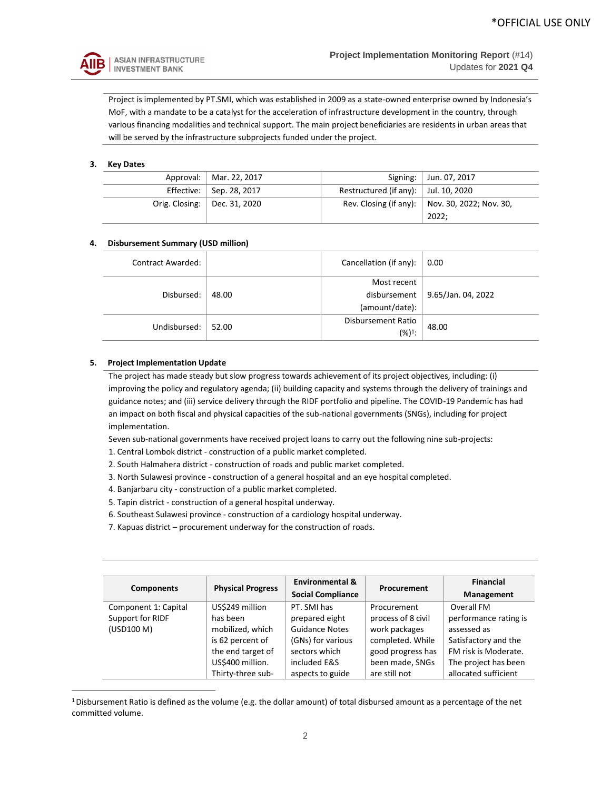

Project is implemented by PT.SMI, which was established in 2009 as a state-owned enterprise owned by Indonesia's MoF, with a mandate to be a catalyst for the acceleration of infrastructure development in the country, through various financing modalities and technical support. The main project beneficiaries are residents in urban areas that will be served by the infrastructure subprojects funded under the project.

## **3. Key Dates**

|                                          | Signing:   Jun. 07, 2017                         |
|------------------------------------------|--------------------------------------------------|
| Restructured (if any): $ $ Jul. 10, 2020 |                                                  |
|                                          | Rev. Closing (if any):   Nov. 30, 2022; Nov. 30, |
|                                          | 2022:                                            |
|                                          |                                                  |

## **4. Disbursement Summary (USD million)**

| Contract Awarded: |       | Cancellation (if any): | 0.00               |
|-------------------|-------|------------------------|--------------------|
|                   |       | Most recent            |                    |
| Disbursed:        | 48.00 | disbursement           | 9.65/Jan. 04, 2022 |
|                   |       | (amount/date):         |                    |
| Undisbursed:      | 52.00 | Disbursement Ratio     | 48.00              |
|                   |       | $(%)1$ :               |                    |

## **5. Project Implementation Update**

The project has made steady but slow progress towards achievement of its project objectives, including: (i) improving the policy and regulatory agenda; (ii) building capacity and systems through the delivery of trainings and guidance notes; and (iii) service delivery through the RIDF portfolio and pipeline. The COVID-19 Pandemic has had an impact on both fiscal and physical capacities of the sub-national governments (SNGs), including for project implementation.

Seven sub-national governments have received project loans to carry out the following nine sub-projects:

- 1. Central Lombok district construction of a public market completed.
- 2. South Halmahera district construction of roads and public market completed.
- 3. North Sulawesi province construction of a general hospital and an eye hospital completed.
- 4. Banjarbaru city construction of a public market completed.
- 5. Tapin district construction of a general hospital underway.
- 6. Southeast Sulawesi province construction of a cardiology hospital underway.
- 7. Kapuas district procurement underway for the construction of roads.

| <b>Components</b>    | <b>Physical Progress</b> | <b>Environmental &amp;</b> | Procurement        | <b>Financial</b>      |
|----------------------|--------------------------|----------------------------|--------------------|-----------------------|
|                      |                          | <b>Social Compliance</b>   |                    | Management            |
| Component 1: Capital | US\$249 million          | PT. SMI has                | Procurement        | Overall FM            |
| Support for RIDF     | has been                 | prepared eight             | process of 8 civil | performance rating is |
| (USD100 M)           | mobilized, which         | <b>Guidance Notes</b>      | work packages      | assessed as           |
|                      | is 62 percent of         | (GNs) for various          | completed. While   | Satisfactory and the  |
|                      | the end target of        | sectors which              | good progress has  | FM risk is Moderate.  |
|                      | US\$400 million.         | included E&S               | been made, SNGs    | The project has been  |
|                      | Thirty-three sub-        | aspects to guide           | are still not      | allocated sufficient  |

<sup>1</sup>Disbursement Ratio is defined as the volume (e.g. the dollar amount) of total disbursed amount as a percentage of the net committed volume.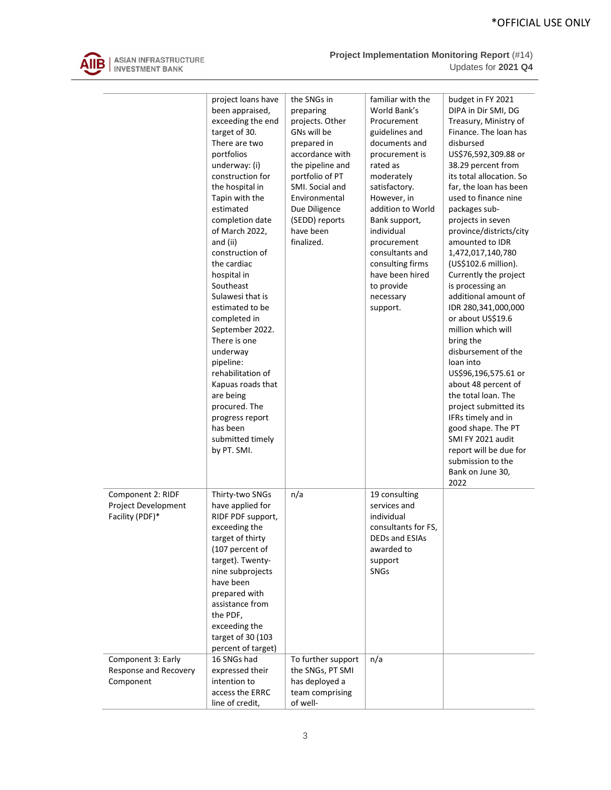

|                                                             | project loans have<br>been appraised,<br>exceeding the end<br>target of 30.<br>There are two<br>portfolios<br>underway: (i)<br>construction for<br>the hospital in<br>Tapin with the<br>estimated<br>completion date<br>of March 2022,<br>and (ii)<br>construction of<br>the cardiac<br>hospital in<br>Southeast<br>Sulawesi that is<br>estimated to be<br>completed in<br>September 2022.<br>There is one<br>underway<br>pipeline:<br>rehabilitation of<br>Kapuas roads that<br>are being<br>procured. The<br>progress report<br>has been<br>submitted timely<br>by PT. SMI. | the SNGs in<br>preparing<br>projects. Other<br>GNs will be<br>prepared in<br>accordance with<br>the pipeline and<br>portfolio of PT<br>SMI. Social and<br>Environmental<br>Due Diligence<br>(SEDD) reports<br>have been<br>finalized. | familiar with the<br>World Bank's<br>Procurement<br>guidelines and<br>documents and<br>procurement is<br>rated as<br>moderately<br>satisfactory.<br>However, in<br>addition to World<br>Bank support,<br>individual<br>procurement<br>consultants and<br>consulting firms<br>have been hired<br>to provide<br>necessary<br>support. | budget in FY 2021<br>DIPA in Dir SMI, DG<br>Treasury, Ministry of<br>Finance. The loan has<br>disbursed<br>US\$76,592,309.88 or<br>38.29 percent from<br>its total allocation. So<br>far, the loan has been<br>used to finance nine<br>packages sub-<br>projects in seven<br>province/districts/city<br>amounted to IDR<br>1,472,017,140,780<br>(US\$102.6 million).<br>Currently the project<br>is processing an<br>additional amount of<br>IDR 280,341,000,000<br>or about US\$19.6<br>million which will<br>bring the<br>disbursement of the<br>loan into<br>US\$96,196,575.61 or<br>about 48 percent of<br>the total loan. The<br>project submitted its<br>IFRs timely and in<br>good shape. The PT<br>SMI FY 2021 audit<br>report will be due for<br>submission to the<br>Bank on June 30,<br>2022 |
|-------------------------------------------------------------|-------------------------------------------------------------------------------------------------------------------------------------------------------------------------------------------------------------------------------------------------------------------------------------------------------------------------------------------------------------------------------------------------------------------------------------------------------------------------------------------------------------------------------------------------------------------------------|---------------------------------------------------------------------------------------------------------------------------------------------------------------------------------------------------------------------------------------|-------------------------------------------------------------------------------------------------------------------------------------------------------------------------------------------------------------------------------------------------------------------------------------------------------------------------------------|---------------------------------------------------------------------------------------------------------------------------------------------------------------------------------------------------------------------------------------------------------------------------------------------------------------------------------------------------------------------------------------------------------------------------------------------------------------------------------------------------------------------------------------------------------------------------------------------------------------------------------------------------------------------------------------------------------------------------------------------------------------------------------------------------------|
| Component 2: RIDF<br>Project Development<br>Facility (PDF)* | Thirty-two SNGs<br>have applied for<br>RIDF PDF support,<br>exceeding the<br>target of thirty<br>(107 percent of<br>target). Twenty-<br>nine subprojects<br>have been<br>prepared with<br>assistance from<br>the PDF,<br>exceeding the<br>target of 30 (103<br>percent of target)                                                                                                                                                                                                                                                                                             | n/a                                                                                                                                                                                                                                   | 19 consulting<br>services and<br>individual<br>consultants for FS,<br>DEDs and ESIAs<br>awarded to<br>support<br><b>SNGs</b>                                                                                                                                                                                                        |                                                                                                                                                                                                                                                                                                                                                                                                                                                                                                                                                                                                                                                                                                                                                                                                         |
| Component 3: Early<br>Response and Recovery<br>Component    | 16 SNGs had<br>expressed their<br>intention to<br>access the ERRC                                                                                                                                                                                                                                                                                                                                                                                                                                                                                                             | To further support<br>the SNGs, PT SMI<br>has deployed a<br>team comprising                                                                                                                                                           | n/a                                                                                                                                                                                                                                                                                                                                 |                                                                                                                                                                                                                                                                                                                                                                                                                                                                                                                                                                                                                                                                                                                                                                                                         |
|                                                             | line of credit,                                                                                                                                                                                                                                                                                                                                                                                                                                                                                                                                                               | of well-                                                                                                                                                                                                                              |                                                                                                                                                                                                                                                                                                                                     |                                                                                                                                                                                                                                                                                                                                                                                                                                                                                                                                                                                                                                                                                                                                                                                                         |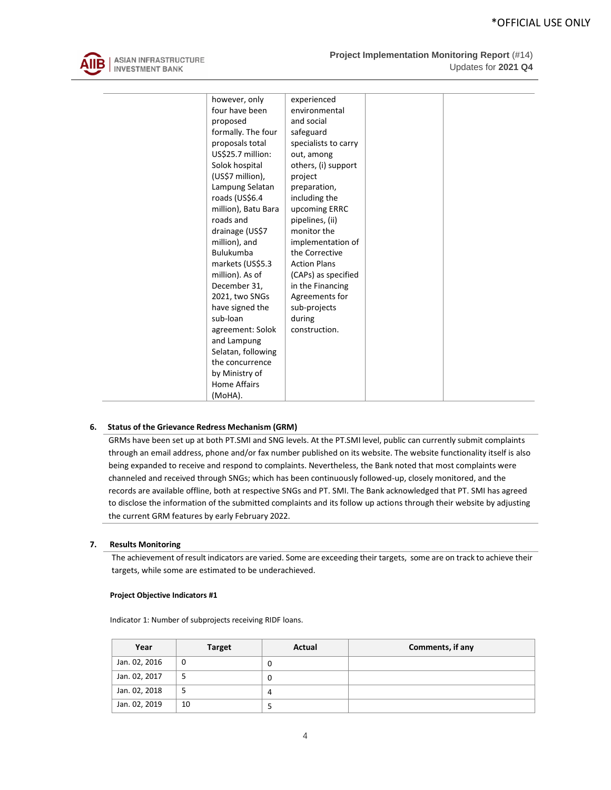

| however, only       | experienced          |  |
|---------------------|----------------------|--|
| four have been      | environmental        |  |
| proposed            | and social           |  |
| formally. The four  | safeguard            |  |
| proposals total     | specialists to carry |  |
| US\$25.7 million:   | out, among           |  |
| Solok hospital      | others, (i) support  |  |
| (US\$7 million),    | project              |  |
| Lampung Selatan     | preparation,         |  |
| roads (US\$6.4      | including the        |  |
| million), Batu Bara | upcoming ERRC        |  |
| roads and           | pipelines, (ii)      |  |
| drainage (US\$7     | monitor the          |  |
| million), and       | implementation of    |  |
| <b>Bulukumba</b>    | the Corrective       |  |
| markets (US\$5.3    | <b>Action Plans</b>  |  |
| million). As of     | (CAPs) as specified  |  |
| December 31,        | in the Financing     |  |
| 2021, two SNGs      | Agreements for       |  |
| have signed the     | sub-projects         |  |
| sub-loan            | during               |  |
| agreement: Solok    | construction.        |  |
| and Lampung         |                      |  |
| Selatan, following  |                      |  |
| the concurrence     |                      |  |
| by Ministry of      |                      |  |
| <b>Home Affairs</b> |                      |  |
| (MoHA).             |                      |  |

#### **6. Status of the Grievance Redress Mechanism (GRM)**

GRMs have been set up at both PT.SMI and SNG levels. At the PT.SMI level, public can currently submit complaints through an email address, phone and/or fax number published on its website. The website functionality itself is also being expanded to receive and respond to complaints. Nevertheless, the Bank noted that most complaints were channeled and received through SNGs; which has been continuously followed-up, closely monitored, and the records are available offline, both at respective SNGs and PT. SMI. The Bank acknowledged that PT. SMI has agreed to disclose the information of the submitted complaints and its follow up actions through their website by adjusting the current GRM features by early February 2022.

#### **7. Results Monitoring**

The achievement of result indicators are varied. Some are exceeding their targets, some are on track to achieve their targets, while some are estimated to be underachieved.

#### **Project Objective Indicators #1**

Indicator 1: Number of subprojects receiving RIDF loans.

| Year          | <b>Target</b> | Actual | Comments, if any |
|---------------|---------------|--------|------------------|
| Jan. 02, 2016 |               | O      |                  |
| Jan. 02, 2017 |               | O      |                  |
| Jan. 02, 2018 |               |        |                  |
| Jan. 02, 2019 | 10            |        |                  |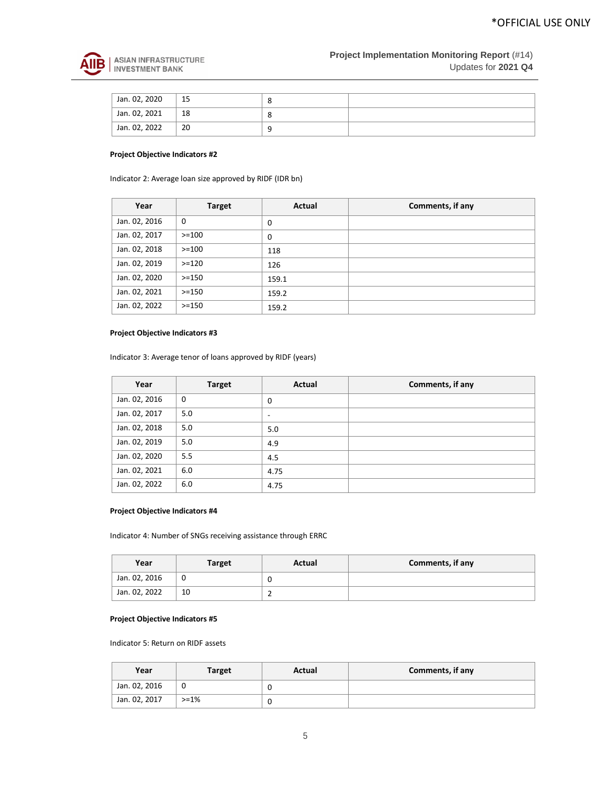

| Jan. 02, 2020 | 15 |  |
|---------------|----|--|
| Jan. 02, 2021 | 18 |  |
| Jan. 02, 2022 | 20 |  |

#### **Project Objective Indicators #2**

Indicator 2: Average loan size approved by RIDF (IDR bn)

| Year          | <b>Target</b> | Actual | Comments, if any |
|---------------|---------------|--------|------------------|
| Jan. 02, 2016 | 0             | 0      |                  |
| Jan. 02, 2017 | $>=100$       | 0      |                  |
| Jan. 02, 2018 | $>=100$       | 118    |                  |
| Jan. 02, 2019 | $> = 120$     | 126    |                  |
| Jan. 02, 2020 | $> = 150$     | 159.1  |                  |
| Jan. 02, 2021 | $> = 150$     | 159.2  |                  |
| Jan. 02, 2022 | $>=150$       | 159.2  |                  |

## **Project Objective Indicators #3**

Indicator 3: Average tenor of loans approved by RIDF (years)

| Year          | <b>Target</b> | Actual | Comments, if any |
|---------------|---------------|--------|------------------|
| Jan. 02, 2016 | 0             | 0      |                  |
| Jan. 02, 2017 | 5.0           | -      |                  |
| Jan. 02, 2018 | 5.0           | 5.0    |                  |
| Jan. 02, 2019 | 5.0           | 4.9    |                  |
| Jan. 02, 2020 | 5.5           | 4.5    |                  |
| Jan. 02, 2021 | 6.0           | 4.75   |                  |
| Jan. 02, 2022 | 6.0           | 4.75   |                  |

## **Project Objective Indicators #4**

Indicator 4: Number of SNGs receiving assistance through ERRC

| Year          | Target | Actual | Comments, if any |
|---------------|--------|--------|------------------|
| Jan. 02, 2016 | v      |        |                  |
| Jan. 02, 2022 | 10     |        |                  |

## **Project Objective Indicators #5**

Indicator 5: Return on RIDF assets

| Year          | Target    | Actual | Comments, if any |
|---------------|-----------|--------|------------------|
| Jan. 02, 2016 |           | υ      |                  |
| Jan. 02, 2017 | $> = 1\%$ | υ      |                  |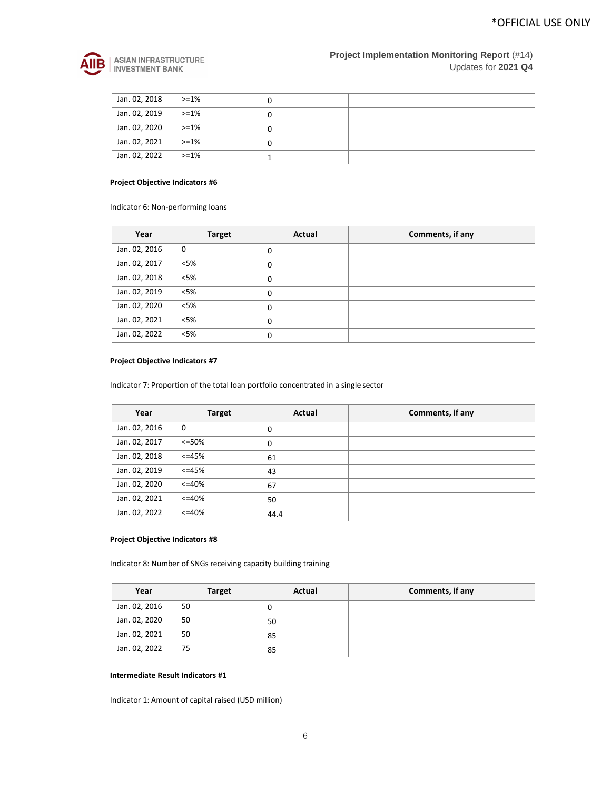

| Jan. 02, 2018 | $>=1\%$   | 0 |  |
|---------------|-----------|---|--|
| Jan. 02, 2019 | $> = 1\%$ | 0 |  |
| Jan. 02, 2020 | $>=1\%$   | 0 |  |
| Jan. 02, 2021 | $> = 1\%$ | 0 |  |
| Jan. 02, 2022 | $>=1\%$   |   |  |

## **Project Objective Indicators #6**

Indicator 6: Non-performing loans

| Year          | <b>Target</b> | Actual   | Comments, if any |
|---------------|---------------|----------|------------------|
| Jan. 02, 2016 | $\mathbf 0$   | 0        |                  |
| Jan. 02, 2017 | $<$ 5%        | 0        |                  |
| Jan. 02, 2018 | $<$ 5%        | 0        |                  |
| Jan. 02, 2019 | $<$ 5%        | 0        |                  |
| Jan. 02, 2020 | $<$ 5%        | $\Omega$ |                  |
| Jan. 02, 2021 | $<$ 5%        | 0        |                  |
| Jan. 02, 2022 | $<$ 5%        | 0        |                  |

## **Project Objective Indicators #7**

Indicator 7: Proportion of the total loan portfolio concentrated in a single sector

| Year          | <b>Target</b> | Actual | Comments, if any |
|---------------|---------------|--------|------------------|
| Jan. 02, 2016 | $\mathbf 0$   | 0      |                  |
| Jan. 02, 2017 | <=50%         | 0      |                  |
| Jan. 02, 2018 | $<=45%$       | 61     |                  |
| Jan. 02, 2019 | $<=45%$       | 43     |                  |
| Jan. 02, 2020 | $<=40%$       | 67     |                  |
| Jan. 02, 2021 | $<=40%$       | 50     |                  |
| Jan. 02, 2022 | $<=40%$       | 44.4   |                  |

#### **Project Objective Indicators #8**

Indicator 8: Number of SNGs receiving capacity building training

| Year          | <b>Target</b> | Actual | Comments, if any |
|---------------|---------------|--------|------------------|
| Jan. 02, 2016 | 50            | U      |                  |
| Jan. 02, 2020 | 50            | 50     |                  |
| Jan. 02, 2021 | 50            | 85     |                  |
| Jan. 02, 2022 | 75            | 85     |                  |

## **Intermediate Result Indicators #1**

Indicator 1: Amount of capital raised (USD million)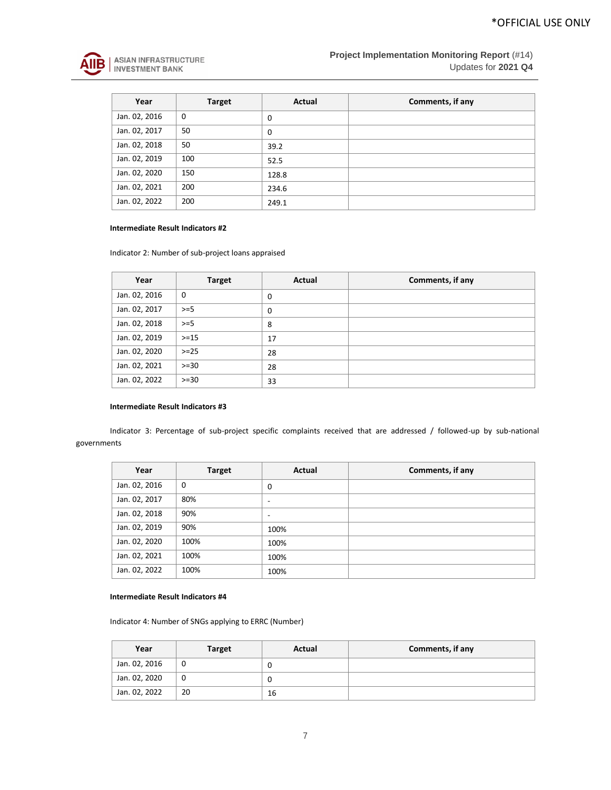

| Year          | <b>Target</b> | Actual | Comments, if any |
|---------------|---------------|--------|------------------|
| Jan. 02, 2016 | 0             | 0      |                  |
| Jan. 02, 2017 | 50            | 0      |                  |
| Jan. 02, 2018 | 50            | 39.2   |                  |
| Jan. 02, 2019 | 100           | 52.5   |                  |
| Jan. 02, 2020 | 150           | 128.8  |                  |
| Jan. 02, 2021 | 200           | 234.6  |                  |
| Jan. 02, 2022 | 200           | 249.1  |                  |

#### **Intermediate Result Indicators #2**

Indicator 2: Number of sub-project loans appraised

| Year          | <b>Target</b> | Actual | Comments, if any |
|---------------|---------------|--------|------------------|
| Jan. 02, 2016 | $\mathbf 0$   | 0      |                  |
| Jan. 02, 2017 | $>=5$         | 0      |                  |
| Jan. 02, 2018 | $>=5$         | 8      |                  |
| Jan. 02, 2019 | $>=15$        | 17     |                  |
| Jan. 02, 2020 | $>= 25$       | 28     |                  |
| Jan. 02, 2021 | $>= 30$       | 28     |                  |
| Jan. 02, 2022 | $>= 30$       | 33     |                  |

## **Intermediate Result Indicators #3**

Indicator 3: Percentage of sub-project specific complaints received that are addressed / followed-up by sub-national governments

| Year          | <b>Target</b> | Actual                   | Comments, if any |
|---------------|---------------|--------------------------|------------------|
| Jan. 02, 2016 | $\mathbf 0$   | 0                        |                  |
| Jan. 02, 2017 | 80%           | ۰                        |                  |
| Jan. 02, 2018 | 90%           | $\overline{\phantom{a}}$ |                  |
| Jan. 02, 2019 | 90%           | 100%                     |                  |
| Jan. 02, 2020 | 100%          | 100%                     |                  |
| Jan. 02, 2021 | 100%          | 100%                     |                  |
| Jan. 02, 2022 | 100%          | 100%                     |                  |

#### **Intermediate Result Indicators #4**

Indicator 4: Number of SNGs applying to ERRC (Number)

| Year          | <b>Target</b> | Actual | Comments, if any |
|---------------|---------------|--------|------------------|
| Jan. 02, 2016 |               | υ      |                  |
| Jan. 02, 2020 | υ             | O      |                  |
| Jan. 02, 2022 | 20            | 16     |                  |